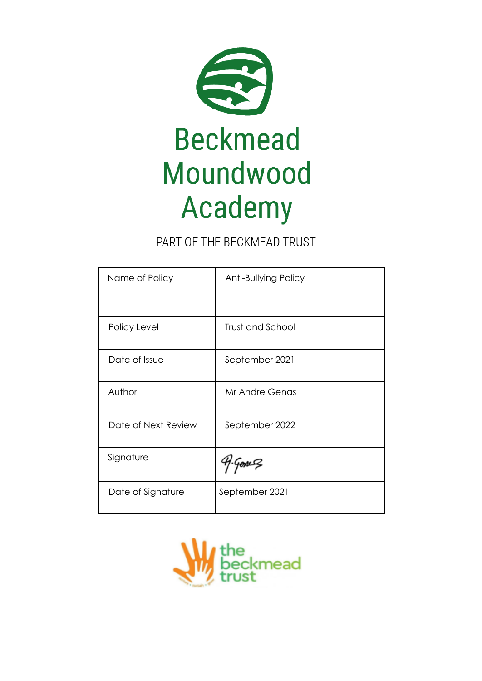

# PART OF THE BECKMEAD TRUST

| Name of Policy      | Anti-Bullying Policy |
|---------------------|----------------------|
| Policy Level        | Trust and School     |
| Date of Issue       | September 2021       |
| Author              | Mr Andre Genas       |
| Date of Next Review | September 2022       |
| Signature           |                      |
| Date of Signature   | September 2021       |

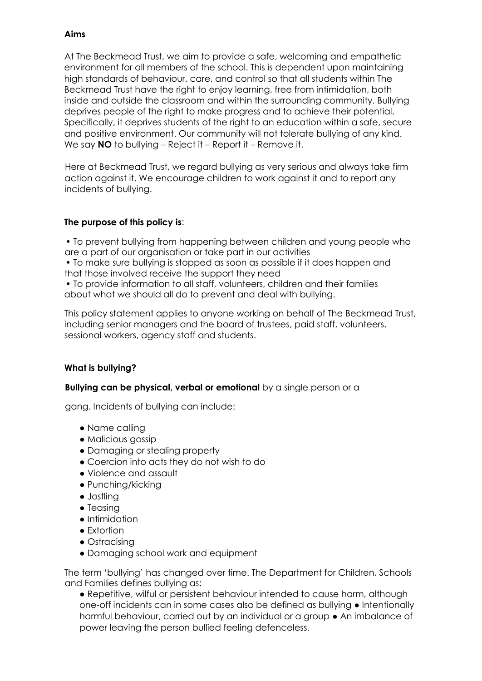# **Aims**

At The Beckmead Trust, we aim to provide a safe, welcoming and empathetic environment for all members of the school. This is dependent upon maintaining high standards of behaviour, care, and control so that all students within The Beckmead Trust have the right to enjoy learning, free from intimidation, both inside and outside the classroom and within the surrounding community. Bullying deprives people of the right to make progress and to achieve their potential. Specifically, it deprives students of the right to an education within a safe, secure and positive environment. Our community will not tolerate bullying of any kind. We say **NO** to bullying – Reject it – Report it – Remove it.

Here at Beckmead Trust, we regard bullying as very serious and always take firm action against it. We encourage children to work against it and to report any incidents of bullying.

# **The purpose of this policy is**:

• To prevent bullying from happening between children and young people who are a part of our organisation or take part in our activities

• To make sure bullying is stopped as soon as possible if it does happen and that those involved receive the support they need

• To provide information to all staff, volunteers, children and their families about what we should all do to prevent and deal with bullying.

This policy statement applies to anyone working on behalf of The Beckmead Trust, including senior managers and the board of trustees, paid staff, volunteers, sessional workers, agency staff and students.

# **What is bullying?**

## **Bullying can be physical, verbal or emotional** by a single person or a

gang. Incidents of bullying can include:

- Name calling
- Malicious gossip
- Damaging or stealing property
- Coercion into acts they do not wish to do
- Violence and assault
- Punching/kicking
- Jostling
- Teasing
- Intimidation
- Extortion
- Ostracising
- Damaging school work and equipment

The term 'bullying' has changed over time. The Department for Children, Schools and Families defines bullying as:

● Repetitive, wilful or persistent behaviour intended to cause harm, although one-off incidents can in some cases also be defined as bullying ● Intentionally harmful behaviour, carried out by an individual or a group • An imbalance of power leaving the person bullied feeling defenceless.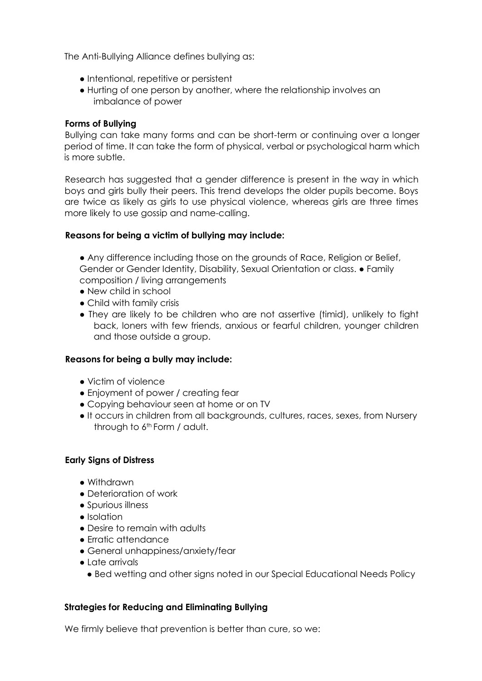The Anti-Bullying Alliance defines bullying as:

- Intentional, repetitive or persistent
- Hurting of one person by another, where the relationship involves an imbalance of power

# **Forms of Bullying**

Bullying can take many forms and can be short-term or continuing over a longer period of time. It can take the form of physical, verbal or psychological harm which is more subtle.

Research has suggested that a gender difference is present in the way in which boys and girls bully their peers. This trend develops the older pupils become. Boys are twice as likely as girls to use physical violence, whereas girls are three times more likely to use gossip and name-calling.

# **Reasons for being a victim of bullying may include:**

- Any difference including those on the grounds of Race, Religion or Belief, Gender or Gender Identity, Disability, Sexual Orientation or class. ● Family composition / living arrangements
- New child in school
- Child with family crisis
- They are likely to be children who are not assertive (timid), unlikely to fight back, loners with few friends, anxious or fearful children, younger children and those outside a group.

# **Reasons for being a bully may include:**

- Victim of violence
- Enjoyment of power / creating fear
- Copying behaviour seen at home or on TV
- It occurs in children from all backgrounds, cultures, races, sexes, from Nursery through to 6<sup>th</sup> Form / adult.

## **Early Signs of Distress**

- Withdrawn
- Deterioration of work
- Spurious illness
- Isolation
- Desire to remain with adults
- Erratic attendance
- General unhappiness/anxiety/fear
- Late arrivals
	- Bed wetting and other signs noted in our Special Educational Needs Policy

## **Strategies for Reducing and Eliminating Bullying**

We firmly believe that prevention is better than cure, so we: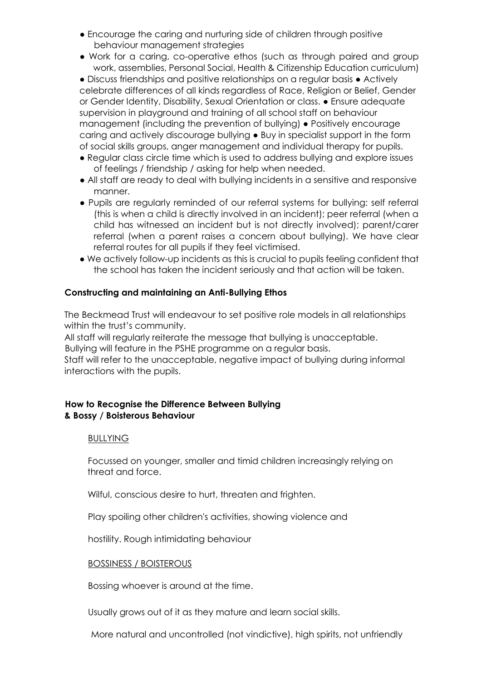- Encourage the caring and nurturing side of children through positive behaviour management strategies
- Work for a caring, co-operative ethos (such as through paired and group work, assemblies, Personal Social, Health & Citizenship Education curriculum)

● Discuss friendships and positive relationships on a regular basis ● Actively celebrate differences of all kinds regardless of Race, Religion or Belief, Gender or Gender Identity, Disability, Sexual Orientation or class. ● Ensure adequate supervision in playground and training of all school staff on behaviour management (including the prevention of bullying) ● Positively encourage caring and actively discourage bullying ● Buy in specialist support in the form of social skills groups, anger management and individual therapy for pupils.

- Regular class circle time which is used to address bullying and explore issues of feelings / friendship / asking for help when needed.
- All staff are ready to deal with bullying incidents in a sensitive and responsive manner.
- Pupils are regularly reminded of our referral systems for bullying: self referral (this is when a child is directly involved in an incident); peer referral (when a child has witnessed an incident but is not directly involved); parent/carer referral (when a parent raises a concern about bullying). We have clear referral routes for all pupils if they feel victimised.
- We actively follow-up incidents as this is crucial to pupils feeling confident that the school has taken the incident seriously and that action will be taken.

# **Constructing and maintaining an Anti-Bullying Ethos**

The Beckmead Trust will endeavour to set positive role models in all relationships within the trust's community.

All staff will regularly reiterate the message that bullying is unacceptable.

Bullying will feature in the PSHE programme on a regular basis.

Staff will refer to the unacceptable, negative impact of bullying during informal interactions with the pupils.

# **How to Recognise the Difference Between Bullying & Bossy / Boisterous Behaviour**

# **BULLYING**

Focussed on younger, smaller and timid children increasingly relying on threat and force.

Wilful, conscious desire to hurt, threaten and frighten.

Play spoiling other children's activities, showing violence and

hostility. Rough intimidating behaviour

## BOSSINESS / BOISTEROUS

Bossing whoever is around at the time.

Usually grows out of it as they mature and learn social skills.

More natural and uncontrolled (not vindictive), high spirits, not unfriendly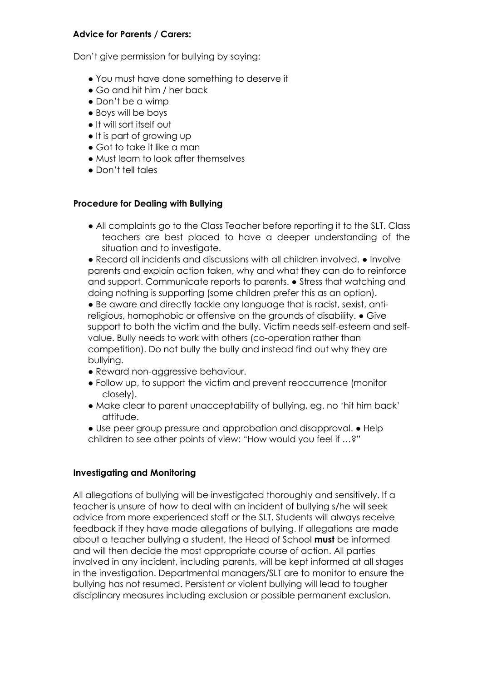# **Advice for Parents / Carers:**

Don't give permission for bullying by saying:

- You must have done something to deserve it
- Go and hit him / her back
- Don't be a wimp
- Boys will be boys
- It will sort itself out
- It is part of growing up
- Got to take it like a man
- Must learn to look after themselves
- Don't tell tales

# **Procedure for Dealing with Bullying**

- All complaints go to the Class Teacher before reporting it to the SLT. Class teachers are best placed to have a deeper understanding of the situation and to investigate.
- Record all incidents and discussions with all children involved. Involve parents and explain action taken, why and what they can do to reinforce and support. Communicate reports to parents. ● Stress that watching and doing nothing is supporting (some children prefer this as an option).

● Be aware and directly tackle any language that is racist, sexist, antireligious, homophobic or offensive on the grounds of disability. ● Give support to both the victim and the bully. Victim needs self-esteem and selfvalue. Bully needs to work with others (co-operation rather than competition). Do not bully the bully and instead find out why they are bullying.

- Reward non-aggressive behaviour.
- Follow up, to support the victim and prevent reoccurrence (monitor closely).
- Make clear to parent unacceptability of bullying, eg. no 'hit him back' attitude.
- Use peer group pressure and approbation and disapproval. Help children to see other points of view: "How would you feel if …?"

# **Investigating and Monitoring**

All allegations of bullying will be investigated thoroughly and sensitively. If a teacher is unsure of how to deal with an incident of bullying s/he will seek advice from more experienced staff or the SLT. Students will always receive feedback if they have made allegations of bullying. If allegations are made about a teacher bullying a student, the Head of School **must** be informed and will then decide the most appropriate course of action. All parties involved in any incident, including parents, will be kept informed at all stages in the investigation. Departmental managers/SLT are to monitor to ensure the bullying has not resumed. Persistent or violent bullying will lead to tougher disciplinary measures including exclusion or possible permanent exclusion.